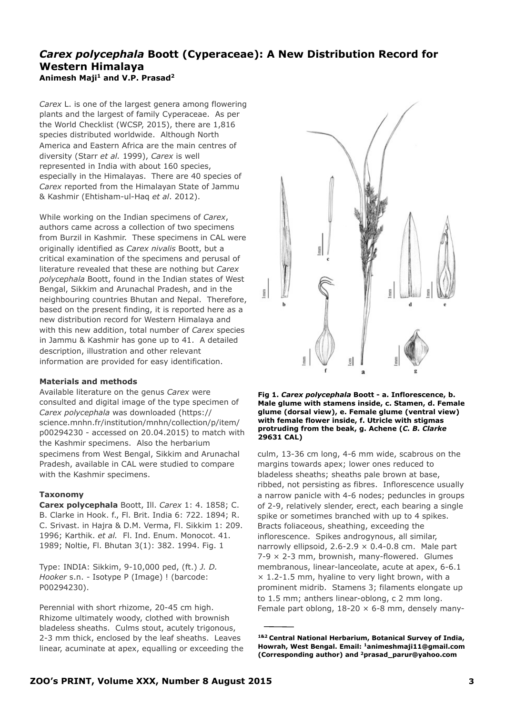# *Carex polycephala* **Boott (Cyperaceae): A New Distribution Record for Western Himalaya Animesh Maji1 and V.P. Prasad2**

*Carex* L. is one of the largest genera among flowering plants and the largest of family Cyperaceae. As per the World Checklist (WCSP, 2015), there are 1,816 species distributed worldwide. Although North America and Eastern Africa are the main centres of diversity (Starr *et al.* 1999), *Carex* is well represented in India with about 160 species, especially in the Himalayas.There are 40 species of *Carex* reported from the Himalayan State of Jammu & Kashmir (Ehtisham-ul-Haq *et al*. 2012).

While working on the Indian specimens of *Carex*, authors came across a collection of two specimens from Burzil in Kashmir. These specimens in CAL were originally identified as *Carex nivalis* Boott, but a critical examination of the specimens and perusal of literature revealed that these are nothing but *Carex polycephala* Boott, found in the Indian states of West Bengal, Sikkim and Arunachal Pradesh, and in the neighbouring countries Bhutan and Nepal. Therefore, based on the present finding, it is reported here as a new distribution record for Western Himalaya and with this new addition, total number of *Carex* species in Jammu & Kashmir has gone up to 41. A detailed description, illustration and other relevant information are provided for easy identification.

## **Materials and methods**

Available literature on the genus *Carex* were consulted and digital image of the type specimen of *Carex polycephala* was downloaded [\(https://](https://science.mnhn.fr/institution/mnhn/collection/p/item/p00294230) [science.mnhn.fr/institution/mnhn/collection/p/item/](https://science.mnhn.fr/institution/mnhn/collection/p/item/p00294230) [p00294230](https://science.mnhn.fr/institution/mnhn/collection/p/item/p00294230) - accessed on 20.04.2015) to match with the Kashmir specimens. Also the herbarium specimens from West Bengal, Sikkim and Arunachal Pradesh, available in CAL were studied to compare with the Kashmir specimens.

## **Taxonomy**

**Carex polycephala** Boott, Ill. *Carex* 1: 4. 1858; C. B. Clarke in Hook. f., Fl. Brit. India 6: 722. 1894; R. C. Srivast. in Hajra & D.M. Verma, Fl. Sikkim 1: 209. 1996; Karthik. *et al.* Fl. Ind. Enum. Monocot. 41. 1989; Noltie, Fl. Bhutan 3(1): 382. 1994. Fig. 1

Type: INDIA: Sikkim, 9-10,000 ped, (ft.) *J. D. Hooker* s.n. - Isotype P (Image) ! (barcode: P00294230).

Perennial with short rhizome, 20-45 cm high. Rhizome ultimately woody, clothed with brownish bladeless sheaths. Culms stout, acutely trigonous, 2-3 mm thick, enclosed by the leaf sheaths. Leaves linear, acuminate at apex, equalling or exceeding the



**Fig 1.** *Carex polycephala* **Boott - a. Inflorescence, b. Male glume with stamens inside, c. Stamen, d. Female glume (dorsal view), e. Female glume (ventral view) with female flower inside, f. Utricle with stigmas protruding from the beak, g. Achene (***C. B. Clarke* **29631 CAL)**

culm, 13-36 cm long, 4-6 mm wide, scabrous on the margins towards apex; lower ones reduced to bladeless sheaths; sheaths pale brown at base, ribbed, not persisting as fibres. Inflorescence usually a narrow panicle with 4-6 nodes; peduncles in groups of 2-9, relatively slender, erect, each bearing a single spike or sometimes branched with up to 4 spikes. Bracts foliaceous, sheathing, exceeding the inflorescence. Spikes androgynous, all similar, narrowly ellipsoid,  $2.6 - 2.9 \times 0.4 - 0.8$  cm. Male part  $7-9 \times 2-3$  mm, brownish, many-flowered. Glumes membranous, linear-lanceolate, acute at apex, 6-6.1  $\times$  1.2-1.5 mm, hyaline to very light brown, with a prominent midrib. Stamens 3; filaments elongate up to 1.5 mm; anthers linear-oblong, c 2 mm long. Female part oblong,  $18-20 \times 6-8$  mm, densely many-

**<sup>1&</sup>amp;2 Central National Herbarium, Botanical Survey of India, Howrah, West Bengal. Email: [1animeshmaji11@gmail.com](mailto:animeshmaji11@gmail.com) (Corresponding author) and [2prasad\\_parur@yahoo.com](mailto:2prasad_parur@yahoo.com)**